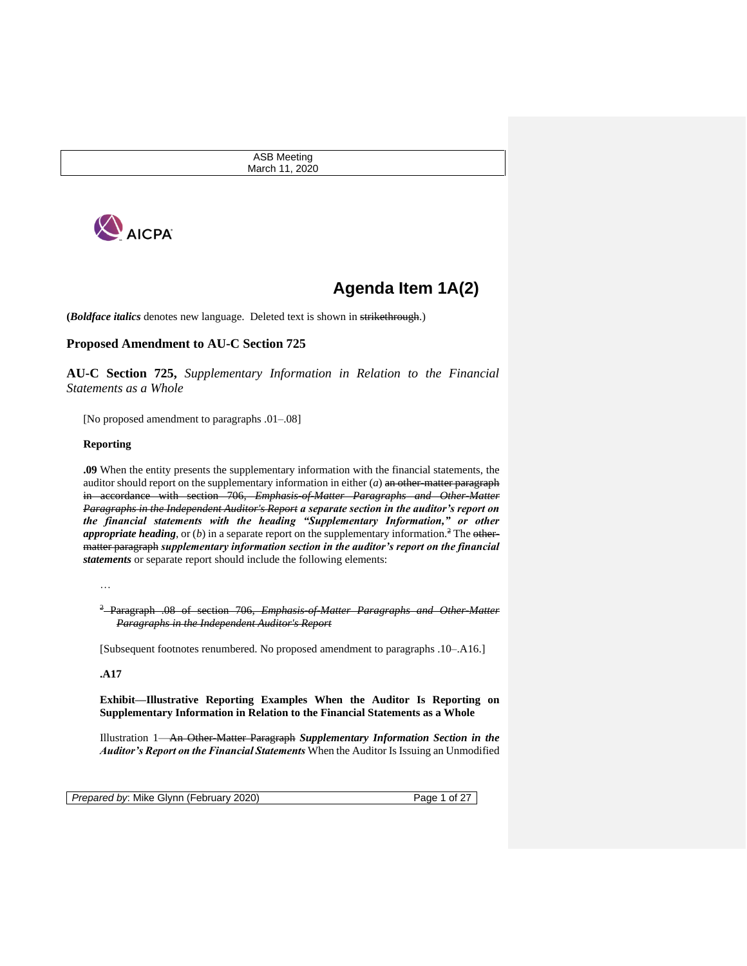ASB Meeting March 11, 2020



# **Agenda Item 1A(2)**

**(***Boldface italics* denotes new language. Deleted text is shown in strikethrough.)

## **Proposed Amendment to AU-C Section 725**

**AU-C Section 725,** *Supplementary Information in Relation to the Financial Statements as a Whole*

[No proposed amendment to paragraphs .01–.08]

### **Reporting**

**.09** When the entity presents the supplementary information with the financial statements, the auditor should report on the supplementary information in either  $(a)$  an other-matter paragraph in accordance with section 706, *Emphasis-of-Matter Paragraphs and Other-Matter Paragraphs in the Independent Auditor's Report a separate section in the auditor's report on the financial statements with the heading "Supplementary Information," or other appropriate heading*, or  $(b)$  in a separate report on the supplementary information.<sup>2</sup> The othermatter paragraph *supplementary information section in the auditor's report on the financial statements* or separate report should include the following elements:

…

<sup>2</sup> Paragraph .08 of section 706, *Emphasis-of-Matter Paragraphs and Other-Matter Paragraphs in the Independent Auditor's Report*

[Subsequent footnotes renumbered. No proposed amendment to paragraphs .10–.A16.]

**.A17** 

**Exhibit—Illustrative Reporting Examples When the Auditor Is Reporting on Supplementary Information in Relation to the Financial Statements as a Whole**

Illustration 1—An Other-Matter Paragraph *Supplementary Information Section in the Auditor's Report on the Financial Statements* When the Auditor Is Issuing an Unmodified

*Prepared by:* Mike Glynn (February 2020) Page 1 of 27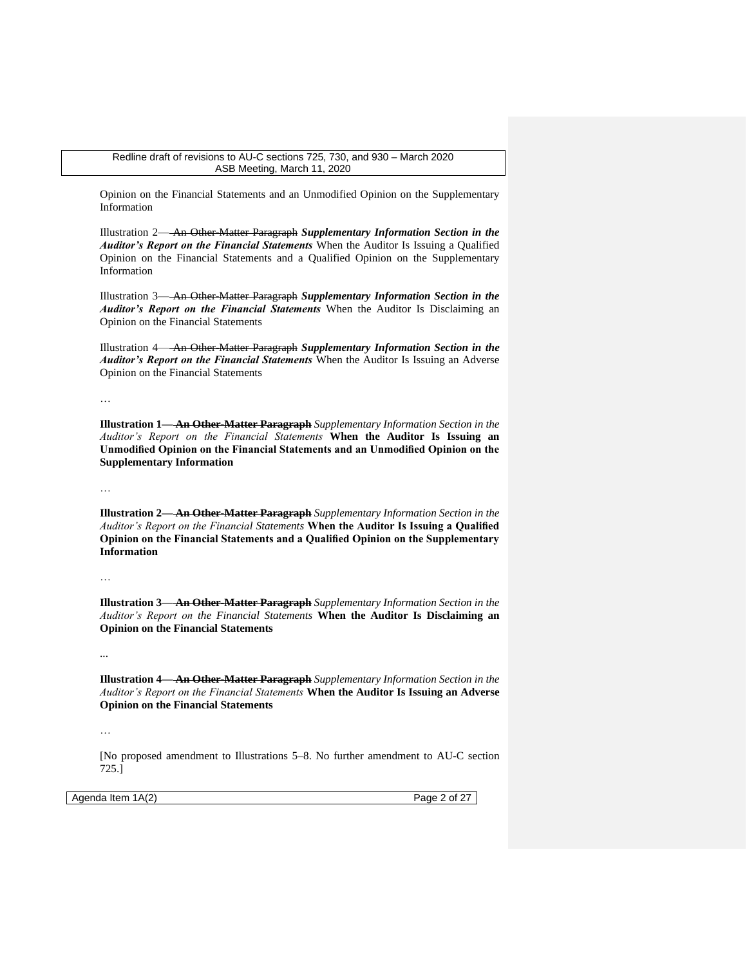Opinion on the Financial Statements and an Unmodified Opinion on the Supplementary Information

Illustration 2— An Other-Matter Paragraph *Supplementary Information Section in the Auditor's Report on the Financial Statements* When the Auditor Is Issuing a Qualified Opinion on the Financial Statements and a Qualified Opinion on the Supplementary Information

Illustration 3— An Other-Matter Paragraph *Supplementary Information Section in the Auditor's Report on the Financial Statements* When the Auditor Is Disclaiming an Opinion on the Financial Statements

Illustration 4— An Other-Matter Paragraph *Supplementary Information Section in the Auditor's Report on the Financial Statements* When the Auditor Is Issuing an Adverse Opinion on the Financial Statements

…

**Illustration 1— An Other-Matter Paragraph** *Supplementary Information Section in the Auditor's Report on the Financial Statements* **When the Auditor Is Issuing an Unmodified Opinion on the Financial Statements and an Unmodified Opinion on the Supplementary Information** 

…

**Illustration 2— An Other-Matter Paragraph** *Supplementary Information Section in the Auditor's Report on the Financial Statements* **When the Auditor Is Issuing a Qualified Opinion on the Financial Statements and a Qualified Opinion on the Supplementary Information** 

…

**Illustration 3— An Other-Matter Paragraph** *Supplementary Information Section in the Auditor's Report on the Financial Statements* **When the Auditor Is Disclaiming an Opinion on the Financial Statements** 

...

**Illustration 4— An Other-Matter Paragraph** *Supplementary Information Section in the Auditor's Report on the Financial Statements* **When the Auditor Is Issuing an Adverse Opinion on the Financial Statements** 

…

[No proposed amendment to Illustrations 5–8. No further amendment to AU-C section 725.]

Agenda Item 1A(2) **Page 2 of 27**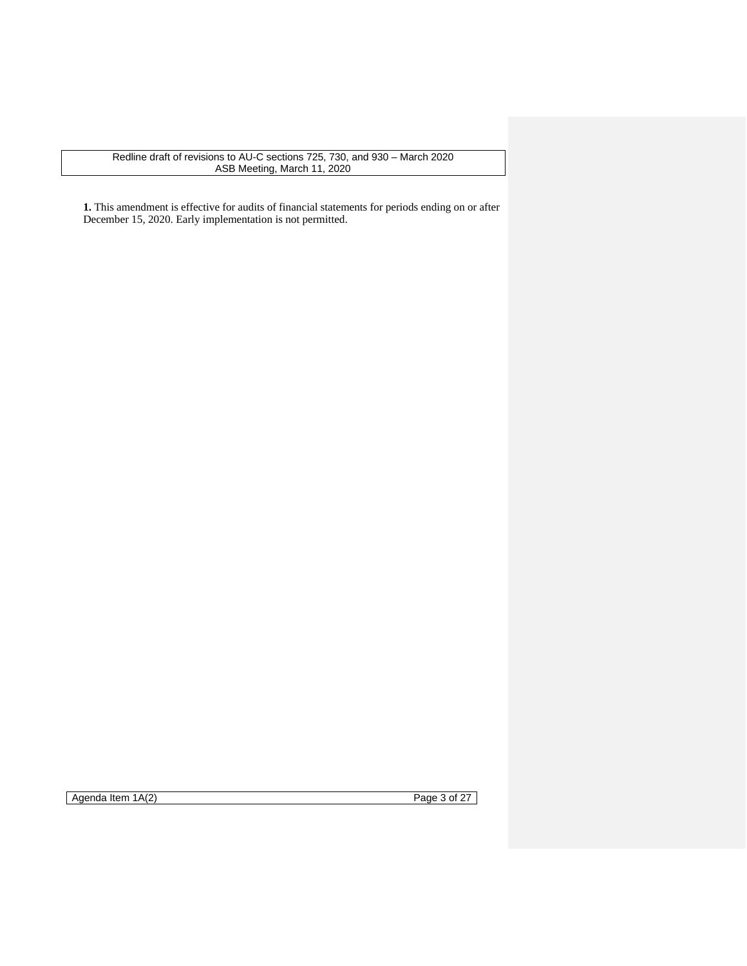**1.** This amendment is effective for audits of financial statements for periods ending on or after December 15, 2020. Early implementation is not permitted.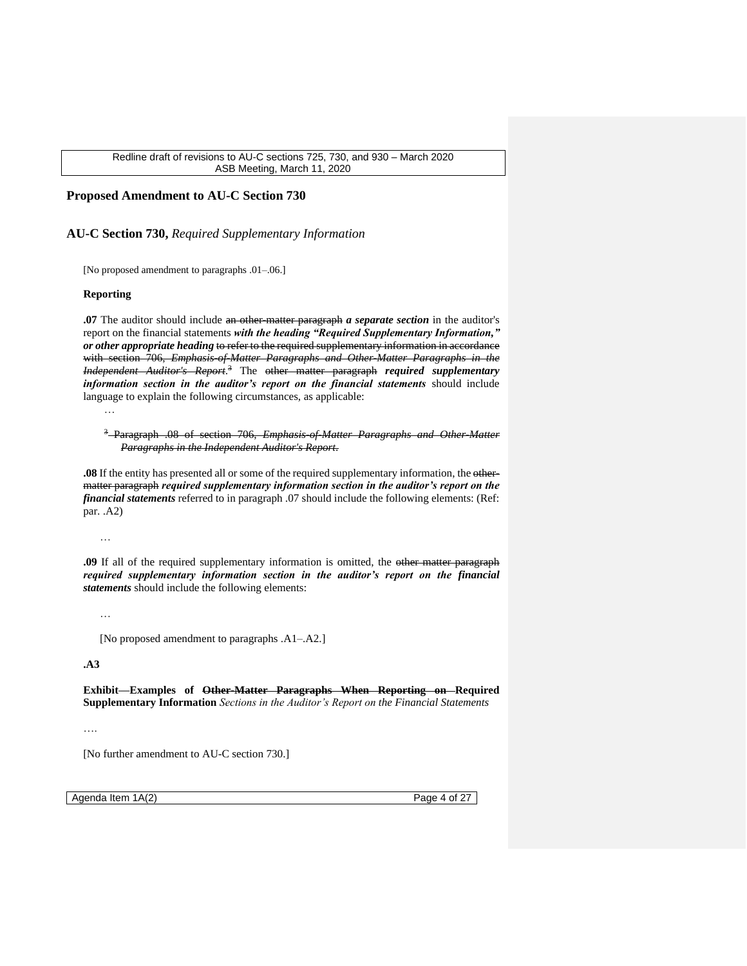# **Proposed Amendment to AU-C Section 730**

**AU-C Section 730,** *Required Supplementary Information*

[No proposed amendment to paragraphs .01–.06.]

### **Reporting**

…

**.07** The auditor should include an other-matter paragraph *a separate section* in the auditor's report on the financial statements *with the heading "Required Supplementary Information," or other appropriate heading* to refer to the required supplementary information in accordance with section 706, *Emphasis-of-Matter Paragraphs and Other-Matter Paragraphs in the Independent Auditor's Report*. <sup>3</sup> The other matter paragraph *required supplementary information section in the auditor's report on the financial statements* should include language to explain the following circumstances, as applicable:

<sup>3</sup>-Paragraph .08 of section 706, *Emphasis of Matter Paragraphs and Other Matter Paragraphs in the Independent Auditor's Report*.

**.08** If the entity has presented all or some of the required supplementary information, the othermatter paragraph *required supplementary information section in the auditor's report on the financial statements* referred to in paragraph .07 should include the following elements: (Ref: par. .A2)

…

**.09** If all of the required supplementary information is omitted, the other matter paragraph *required supplementary information section in the auditor's report on the financial statements* should include the following elements:

…

[No proposed amendment to paragraphs .A1–.A2.]

**.A3** 

**Exhibit—Examples of Other-Matter Paragraphs When Reporting on Required Supplementary Information** *Sections in the Auditor's Report on the Financial Statements*

….

[No further amendment to AU-C section 730.]

Agenda Item 1A(2) **Page 4 of 27**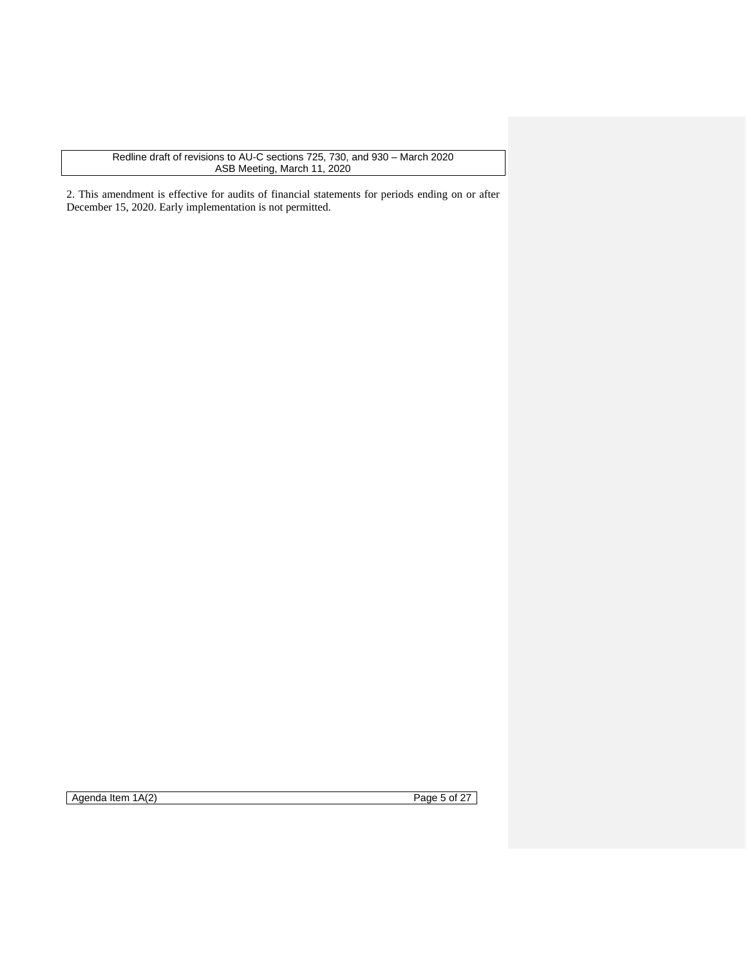| Redline draft of revisions to AU-C sections 725, 730, and 930 – March 2020 |
|----------------------------------------------------------------------------|
| ASB Meeting, March 11, 2020                                                |

2. This amendment is effective for audits of financial statements for periods ending on or after December 15, 2020. Early implementation is not permitted.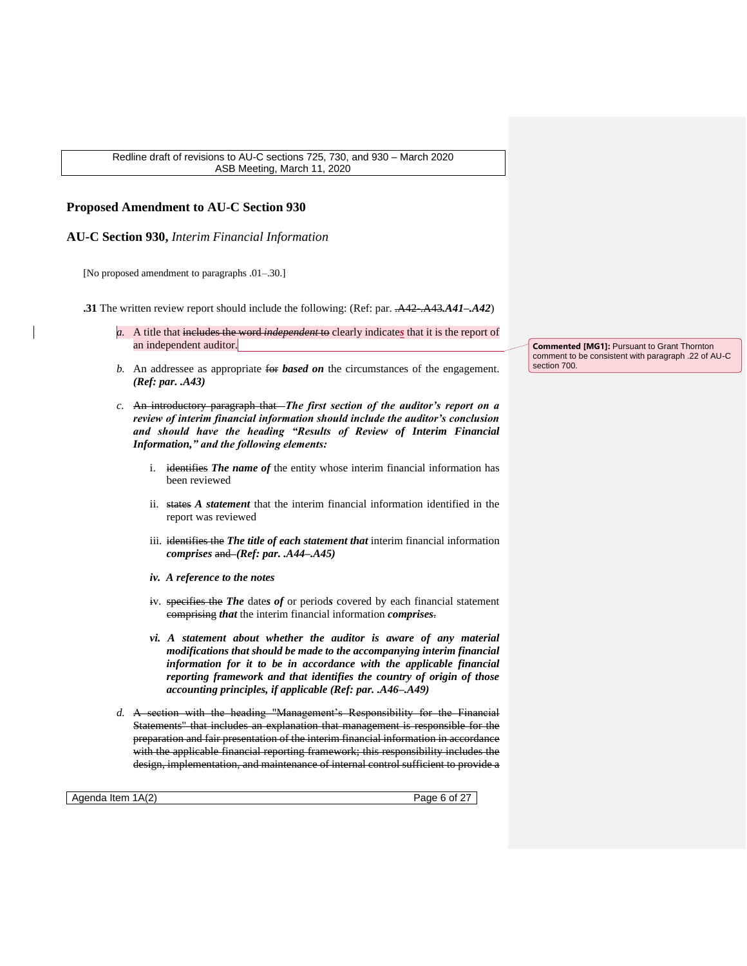### **Proposed Amendment to AU-C Section 930**

**AU-C Section 930,** *Interim Financial Information*

[No proposed amendment to paragraphs .01–.30.]

**.31** The written review report should include the following: (Ref: par. .A42-.A43*.A41–.A42*)

- *a.* A title that includes the word *independent* to clearly indicate*s* that it is the report of an independent auditor.
- *b.* An addressee as appropriate for *based on* the circumstances of the engagement. *(Ref: par. .A43)*
- *c.* An introductory paragraph that *The first section of the auditor's report on a review of interim financial information should include the auditor's conclusion and should have the heading "Results of Review of Interim Financial Information," and the following elements:*
	- i. identifies *The name of* the entity whose interim financial information has been reviewed
	- ii. states *A statement* that the interim financial information identified in the report was reviewed
	- iii. identifies the *The title of each statement that* interim financial information *comprises* and *(Ref: par. .A44–.A45)*
	- *iv. A reference to the notes*
	- iv. specifies the *The* date*s of* or period*s* covered by each financial statement comprising *that* the interim financial information *comprises*.
	- *vi. A statement about whether the auditor is aware of any material modifications that should be made to the accompanying interim financial information for it to be in accordance with the applicable financial reporting framework and that identifies the country of origin of those accounting principles, if applicable (Ref: par. .A46–.A49)*
- *d.* A section with the heading "Management's Responsibility for the Financial Statements" that includes an explanation that management is responsible for the preparation and fair presentation of the interim financial information in accordance with the applicable financial reporting framework; this responsibility includes the design, implementation, and maintenance of internal control sufficient to provide a

Agenda Item 1A(2) **Page 6 of 27** 

**Commented [MG1]:** Pursuant to Grant Thornton comment to be consistent with paragraph .22 of AU-C section 700.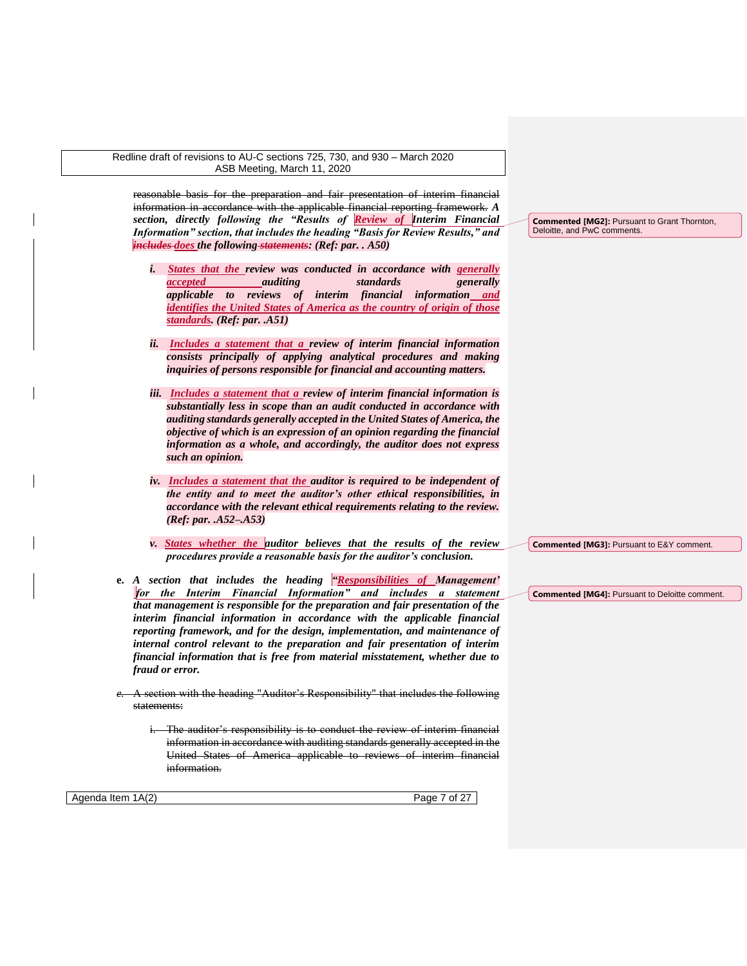reasonable basis for the preparation and fair presentation of interim financial information in accordance with the applicable financial reporting framework. *A section, directly following the "Results of Review of Interim Financial Information" section, that includes the heading "Basis for Review Results," and includes does the following statements: (Ref: par. . A50)*

- *i.* States that the review was conducted in accordance with generally *accepted auditing standards generally applicable to reviews of interim financial information and identifies the United States of America as the country of origin of those standards. (Ref: par. .A51)*
- *ii. Includes a statement that a review of interim financial information consists principally of applying analytical procedures and making inquiries of persons responsible for financial and accounting matters.*
- *iii. Includes a statement that a review of interim financial information is substantially less in scope than an audit conducted in accordance with auditing standards generally accepted in the United States of America, the objective of which is an expression of an opinion regarding the financial information as a whole, and accordingly, the auditor does not express such an opinion.*
- *iv.* Includes a statement that the auditor is required to be independent of *the entity and to meet the auditor's other ethical responsibilities, in accordance with the relevant ethical requirements relating to the review. (Ref: par. .A52–.A53)*
- *v. States whether the auditor believes that the results of the review procedures provide a reasonable basis for the auditor's conclusion.*
- **e.** *A section that includes the heading "Responsibilities of Management'* for the Interim Financial Information" and includes a statement *that management is responsible for the preparation and fair presentation of the interim financial information in accordance with the applicable financial reporting framework, and for the design, implementation, and maintenance of internal control relevant to the preparation and fair presentation of interim financial information that is free from material misstatement, whether due to fraud or error.*
- *e.* A section with the heading "Auditor's Responsibility" that includes the following statements:
	- The auditor's responsibility is to conduct the review of interim financial information in accordance with auditing standards generally accepted in the United States of America applicable to reviews of interim financial information.

Agenda Item 1A(2) **Page 7 of 27** 

**Commented [MG2]:** Pursuant to Grant Thornton, Deloitte, and PwC comments.

**Commented [MG3]:** Pursuant to E&Y comment.

**Commented [MG4]:** Pursuant to Deloitte comment.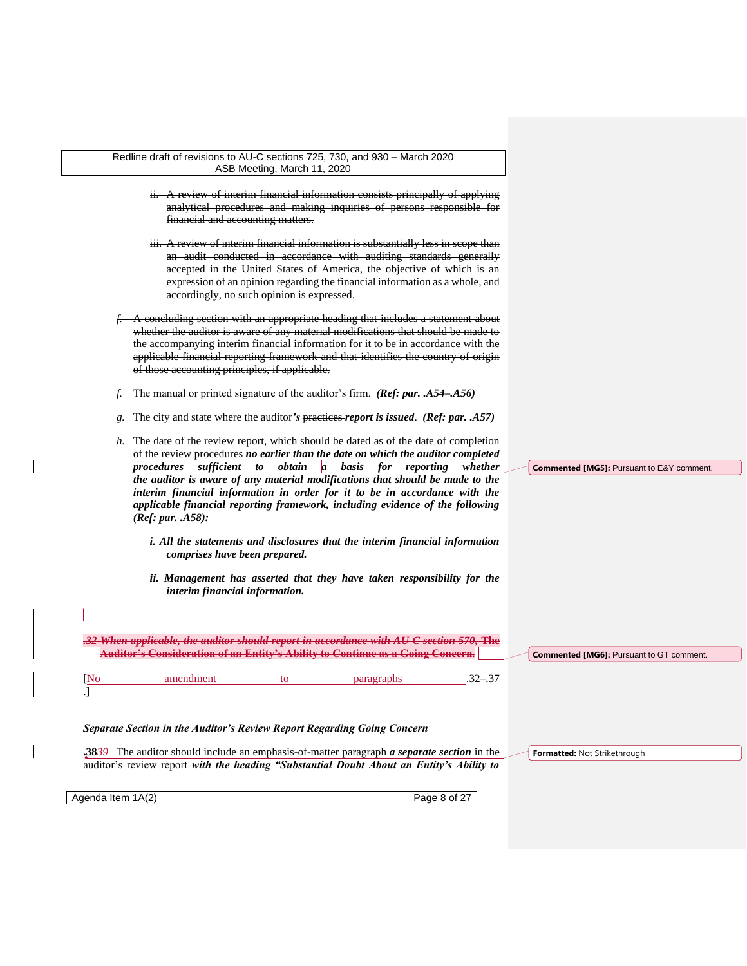- ii. A review of interim financial information consists principally of applying analytical procedures and making inquiries of persons responsible for financial and accounting matters.
- iii. A review of interim financial information is substantially less in scope than an audit conducted in accordance with auditing standards generally accepted in the United States of America, the objective of which is an expression of an opinion regarding the financial information as a whole, and accordingly, no such opinion is expressed.
- *f.* A concluding section with an appropriate heading that includes a statement about whether the auditor is aware of any material modifications that should be made to the accompanying interim financial information for it to be in accordance with the applicable financial reporting framework and that identifies the country of origin of those accounting principles, if applicable.
- *f.* The manual or printed signature of the auditor's firm. *(Ref: par. .A54–.A56)*
- *g.* The city and state where the auditor*'s* practices *report is issued*. *(Ref: par. .A57)*
- *h*. The date of the review report, which should be dated as of the date of completion of the review procedures *no earlier than the date on which the auditor completed procedures sufficient to obtain a basis for reporting whether the auditor is aware of any material modifications that should be made to the interim financial information in order for it to be in accordance with the applicable financial reporting framework, including evidence of the following (Ref: par. .A58):*
	- *i. All the statements and disclosures that the interim financial information comprises have been prepared.*
	- *ii. Management has asserted that they have taken responsibility for the interim financial information.*

|     |           | .32 When applicable, the auditor should report in accordance with AU-C section 570. The<br>Auditor's Consideration of an Entity's Ability to Continue as a Going Concern. |             | <b>Commented [MG6]: Pursuant to GT comment.</b> |
|-----|-----------|---------------------------------------------------------------------------------------------------------------------------------------------------------------------------|-------------|-------------------------------------------------|
| 'N. | amendment | paragraphs                                                                                                                                                                | $.32 - .37$ |                                                 |

*Separate Section in the Auditor's Review Report Regarding Going Concern*

**.38***39* The auditor should include an emphasis-of-matter paragraph *a separate section* in the auditor's review report *with the heading "Substantial Doubt About an Entity's Ability to* 

**Formatted:** Not Strikethrough

**Commented [MG5]:** Pursuant to E&Y comment.

Agenda Item 1A(2) **Page 8 of 27** 

Ï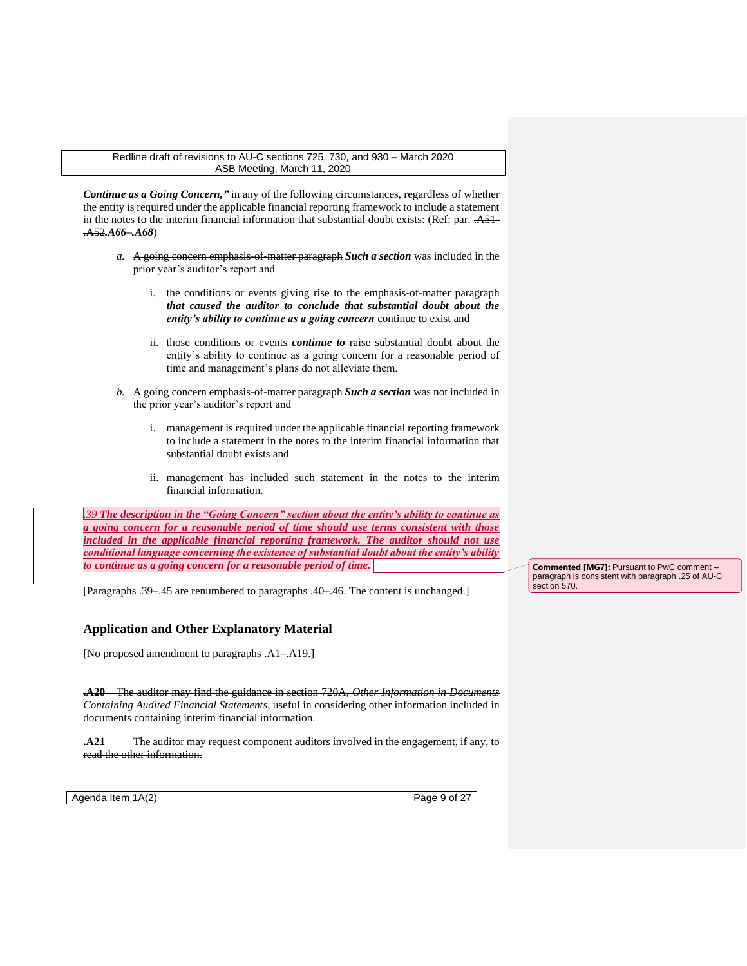*Continue as a Going Concern,"* in any of the following circumstances, regardless of whether the entity is required under the applicable financial reporting framework to include a statement in the notes to the interim financial information that substantial doubt exists: (Ref: par.  $A51-$ .A52*.A66–.A68*)

- *a.* A going concern emphasis-of-matter paragraph *Such a section* was included in the prior year's auditor's report and
	- i. the conditions or events giving rise to the emphasis of matter paragraph *that caused the auditor to conclude that substantial doubt about the entity's ability to continue as a going concern* continue to exist and
	- ii. those conditions or events *continue to* raise substantial doubt about the entity's ability to continue as a going concern for a reasonable period of time and management's plans do not alleviate them.
- *b.* A going concern emphasis-of-matter paragraph *Such a section* was not included in the prior year's auditor's report and
	- i. management is required under the applicable financial reporting framework to include a statement in the notes to the interim financial information that substantial doubt exists and
	- ii. management has included such statement in the notes to the interim financial information.

*.39 The description in the "Going Concern" section about the entity's ability to continue as a going concern for a reasonable period of time should use terms consistent with those included in the applicable financial reporting framework. The auditor should not use conditional language concerning the existence of substantial doubt about the entity's ability to continue as a going concern for a reasonable period of time.* 

[Paragraphs .39–.45 are renumbered to paragraphs .40–.46. The content is unchanged.]

### **Application and Other Explanatory Material**

[No proposed amendment to paragraphs .A1–.A19.]

**.A20** The auditor may find the guidance in section 720A, *Other Information in Documents Containing Audited Financial Statements*, useful in considering other information included in documents containing interim financial information.

**.A21** The auditor may request component auditors involved in the engagement, if any, to read the other information.

| Agenda Item 1A(2) |
|-------------------|
|-------------------|

Page 9 of 27

**Commented [MG7]:** Pursuant to PwC comment – paragraph is consistent with paragraph .25 of AU-C section 570.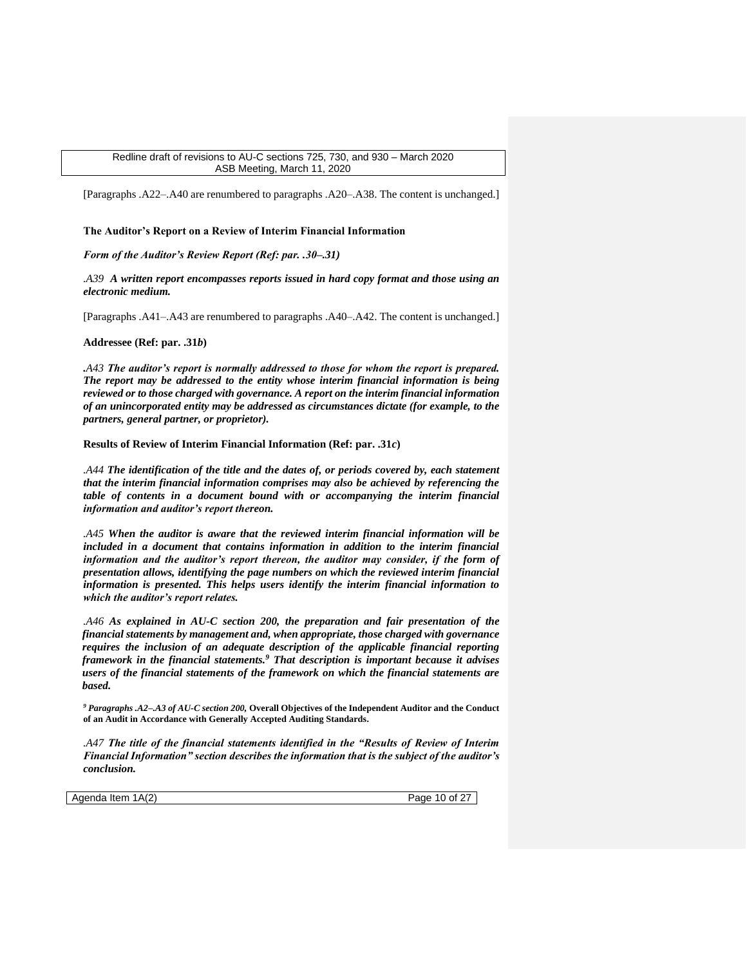[Paragraphs .A22–.A40 are renumbered to paragraphs .A20–.A38. The content is unchanged.]

#### **The Auditor's Report on a Review of Interim Financial Information**

*Form of the Auditor's Review Report (Ref: par. .30–.31)*

*.A39 A written report encompasses reports issued in hard copy format and those using an electronic medium.*

[Paragraphs .A41–.A43 are renumbered to paragraphs .A40–.A42. The content is unchanged.]

#### **Addressee (Ref: par. .31***b***)**

*.A43 The auditor's report is normally addressed to those for whom the report is prepared. The report may be addressed to the entity whose interim financial information is being reviewed or to those charged with governance. A report on the interim financial information of an unincorporated entity may be addressed as circumstances dictate (for example, to the partners, general partner, or proprietor).*

### **Results of Review of Interim Financial Information (Ref: par. .31***c***)**

*.A44 The identification of the title and the dates of, or periods covered by, each statement that the interim financial information comprises may also be achieved by referencing the table of contents in a document bound with or accompanying the interim financial information and auditor's report thereon.*

*.A45 When the auditor is aware that the reviewed interim financial information will be included in a document that contains information in addition to the interim financial* information and the auditor's report thereon, the auditor may consider, if the form of *presentation allows, identifying the page numbers on which the reviewed interim financial information is presented. This helps users identify the interim financial information to which the auditor's report relates.*

*.A46 As explained in AU-C section 200, the preparation and fair presentation of the financial statements by management and, when appropriate, those charged with governance requires the inclusion of an adequate description of the applicable financial reporting framework in the financial statements.<sup>9</sup> That description is important because it advises users of the financial statements of the framework on which the financial statements are based.*

*<sup>9</sup> Paragraphs .A2–.A3 of AU-C section 200,* **Overall Objectives of the Independent Auditor and the Conduct of an Audit in Accordance with Generally Accepted Auditing Standards***.*

*.A47 The title of the financial statements identified in the "Results of Review of Interim Financial Information" section describes the information that is the subject of the auditor's conclusion.*

Agenda Item 1A(2) Page 10 of 27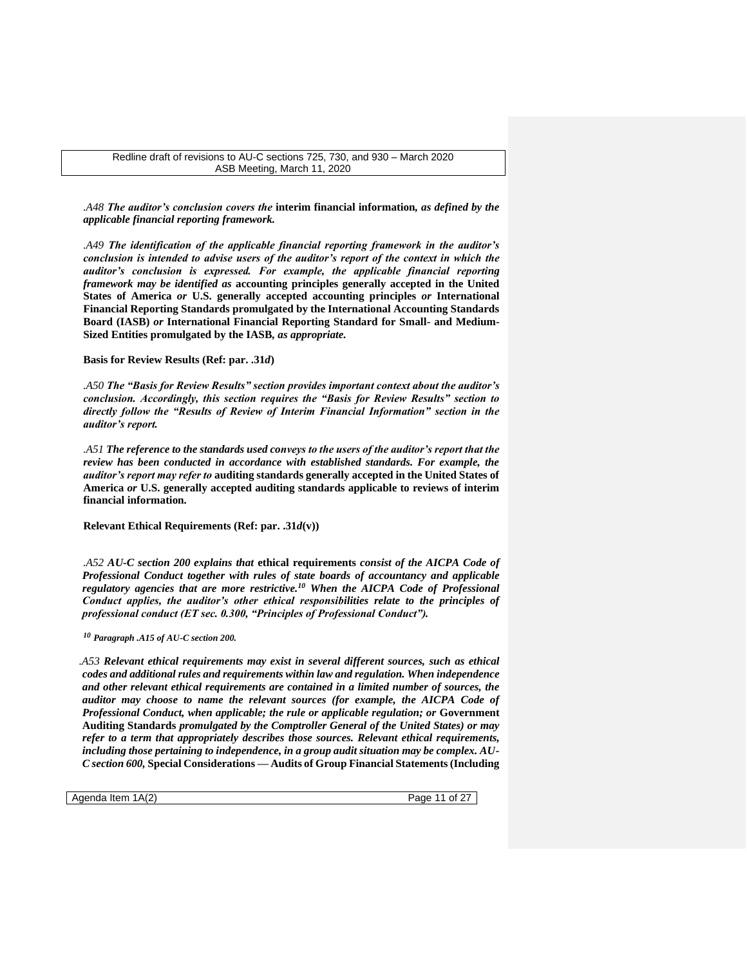| Redline draft of revisions to AU-C sections 725, 730, and 930 – March 2020 |
|----------------------------------------------------------------------------|
| ASB Meeting, March 11, 2020                                                |

*.A48 The auditor's conclusion covers the* **interim financial information***, as defined by the applicable financial reporting framework.*

*.A49 The identification of the applicable financial reporting framework in the auditor's conclusion is intended to advise users of the auditor's report of the context in which the auditor's conclusion is expressed. For example, the applicable financial reporting framework may be identified as* **accounting principles generally accepted in the United States of America** *or* **U.S. generally accepted accounting principles** *or* **International Financial Reporting Standards promulgated by the International Accounting Standards Board (IASB)** *or* **International Financial Reporting Standard for Small- and Medium-Sized Entities promulgated by the IASB***, as appropriate.*

### **Basis for Review Results (Ref: par. .31***d***)**

*.A50 The "Basis for Review Results" section provides important context about the auditor's conclusion. Accordingly, this section requires the "Basis for Review Results" section to directly follow the "Results of Review of Interim Financial Information" section in the auditor's report.*

*.A51 The reference to the standards used conveys to the users of the auditor's report that the review has been conducted in accordance with established standards. For example, the auditor's report may refer to* **auditing standards generally accepted in the United States of America** *or* **U.S. generally accepted auditing standards applicable to reviews of interim financial information***.*

#### **Relevant Ethical Requirements (Ref: par. .31***d***(v))**

*.A52 AU-C section 200 explains that* **ethical requirements** *consist of the AICPA Code of Professional Conduct together with rules of state boards of accountancy and applicable regulatory agencies that are more restrictive.<sup>10</sup> When the AICPA Code of Professional Conduct applies, the auditor's other ethical responsibilities relate to the principles of professional conduct (ET sec. 0.300, "Principles of Professional Conduct").*

*<sup>10</sup> Paragraph .A15 of AU-C section 200.*

*.A53 Relevant ethical requirements may exist in several different sources, such as ethical codes and additional rules and requirements within law and regulation. When independence and other relevant ethical requirements are contained in a limited number of sources, the auditor may choose to name the relevant sources (for example, the AICPA Code of Professional Conduct, when applicable; the rule or applicable regulation; or* **Government Auditing Standards** *promulgated by the Comptroller General of the United States) or may refer to a term that appropriately describes those sources. Relevant ethical requirements, including those pertaining to independence, in a group audit situation may be complex. AU-C section 600,* **Special Considerations — Audits of Group Financial Statements (Including**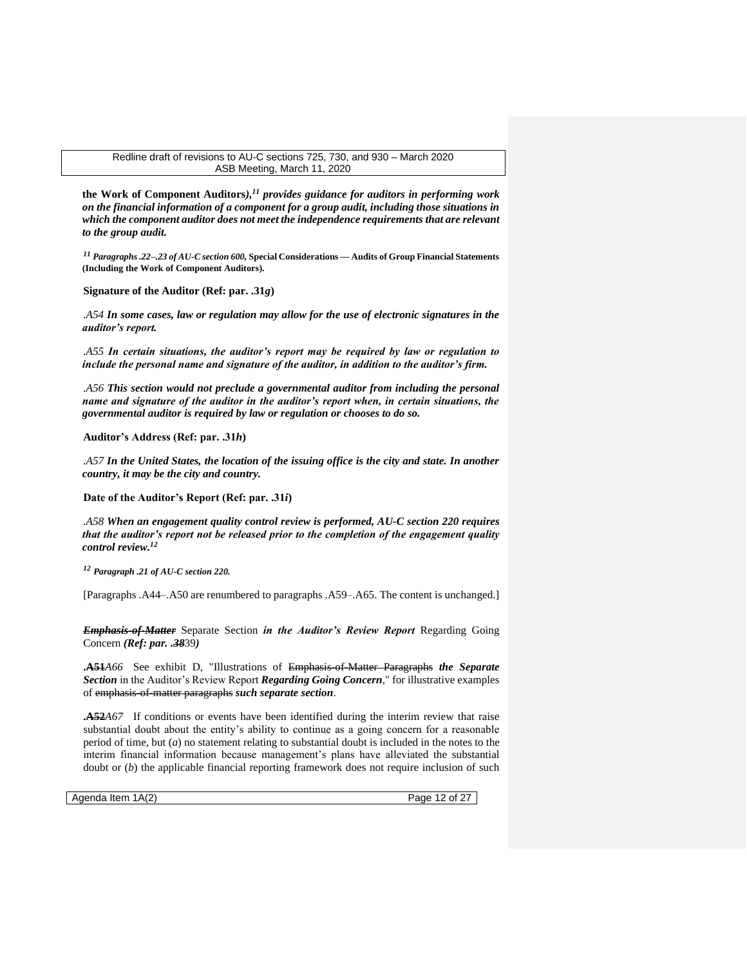**the Work of Component Auditors***),<sup>11</sup> provides guidance for auditors in performing work on the financial information of a component for a group audit, including those situations in which the component auditor does not meet the independence requirements that are relevant to the group audit.*

*<sup>11</sup> Paragraphs .22–.23 of AU-C section 600,* **Special Considerations — Audits of Group Financial Statements (Including the Work of Component Auditors)***.*

**Signature of the Auditor (Ref: par. .31***g***)**

*.A54 In some cases, law or regulation may allow for the use of electronic signatures in the auditor's report.*

*.A55 In certain situations, the auditor's report may be required by law or regulation to include the personal name and signature of the auditor, in addition to the auditor's firm.*

*.A56 This section would not preclude a governmental auditor from including the personal name and signature of the auditor in the auditor's report when, in certain situations, the governmental auditor is required by law or regulation or chooses to do so.*

#### **Auditor's Address (Ref: par. .31***h***)**

*.A57 In the United States, the location of the issuing office is the city and state. In another country, it may be the city and country.*

### **Date of the Auditor's Report (Ref: par. .31***i***)**

*.A58 When an engagement quality control review is performed, AU-C section 220 requires that the auditor's report not be released prior to the completion of the engagement quality control review.<sup>12</sup>*

*<sup>12</sup> Paragraph .21 of AU-C section 220.*

[Paragraphs .A44–.A50 are renumbered to paragraphs .A59–.A65. The content is unchanged.]

*Emphasis-of-Matter* Separate Section *in the Auditor's Review Report* Regarding Going Concern *(Ref: par. .38*39*)*

**.A51***A66* See exhibit D, "Illustrations of Emphasis-of-Matter Paragraphs *the Separate Section* in the Auditor's Review Report *Regarding Going Concern*," for illustrative examples of emphasis-of-matter paragraphs *such separate section*.

**.A52***A67* If conditions or events have been identified during the interim review that raise substantial doubt about the entity's ability to continue as a going concern for a reasonable period of time, but (*a*) no statement relating to substantial doubt is included in the notes to the interim financial information because management's plans have alleviated the substantial doubt or (*b*) the applicable financial reporting framework does not require inclusion of such

Agenda Item 1A(2) Page 12 of 27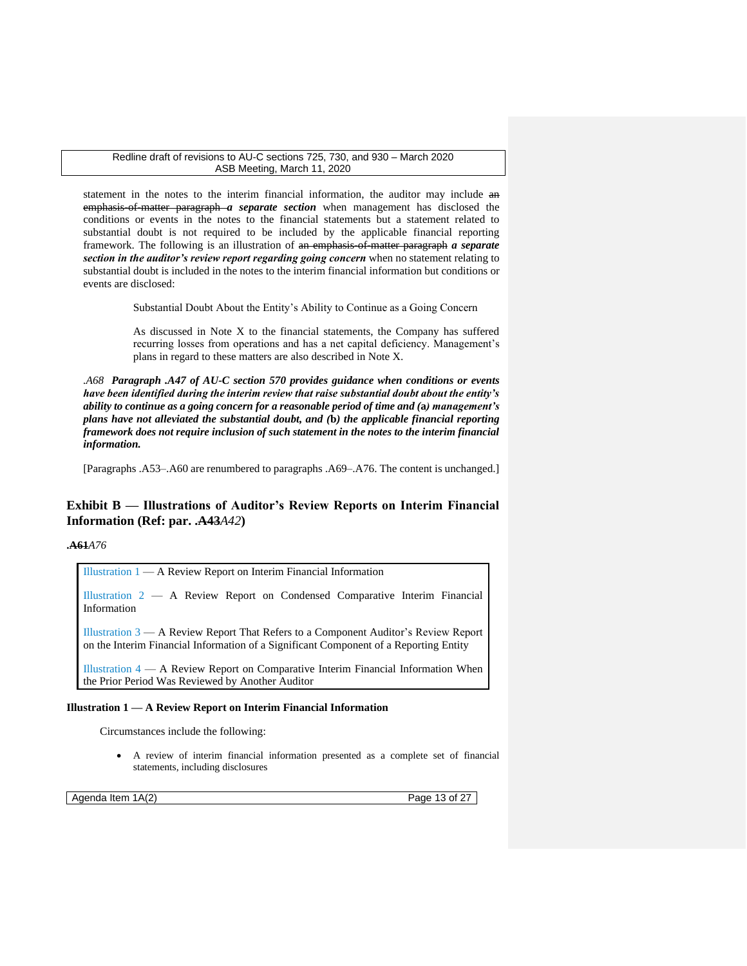statement in the notes to the interim financial information, the auditor may include an emphasis-of-matter paragraph *a separate section* when management has disclosed the conditions or events in the notes to the financial statements but a statement related to substantial doubt is not required to be included by the applicable financial reporting framework. The following is an illustration of an emphasis-of-matter paragraph *a separate section in the auditor's review report regarding going concern* when no statement relating to substantial doubt is included in the notes to the interim financial information but conditions or events are disclosed:

Substantial Doubt About the Entity's Ability to Continue as a Going Concern

As discussed in Note X to the financial statements, the Company has suffered recurring losses from operations and has a net capital deficiency. Management's plans in regard to these matters are also described in Note X.

*.A68 Paragraph .A47 of AU-C section 570 provides guidance when conditions or events have been identified during the interim review that raise substantial doubt about the entity's ability to continue as a going concern for a reasonable period of time and (***a***) management's plans have not alleviated the substantial doubt, and (***b***) the applicable financial reporting framework does not require inclusion of such statement in the notes to the interim financial information.* 

[Paragraphs .A53–.A60 are renumbered to paragraphs .A69–.A76. The content is unchanged.]

# **Exhibit B — Illustrations of Auditor's Review Reports on Interim Financial Information (Ref: par. .A43***A42***)**

### **.A61***A76*

[Illustration 1](#page-12-0) — A Review Report on Interim Financial Information

[Illustration 2](#page-14-0) — A Review Report on Condensed Comparative Interim Financial Information

[Illustration 3](#page-16-0) — A Review Report That Refers to a Component Auditor's Review Report on the Interim Financial Information of a Significant Component of a Reporting Entity

[Illustration 4](#page-18-0) — A Review Report on Comparative Interim Financial Information When the Prior Period Was Reviewed by Another Auditor

### <span id="page-12-0"></span>**Illustration 1 — A Review Report on Interim Financial Information**

Circumstances include the following:

• A review of interim financial information presented as a complete set of financial statements, including disclosures

Agenda Item 1A(2) **Page 13 of 27 Page 13 of 27**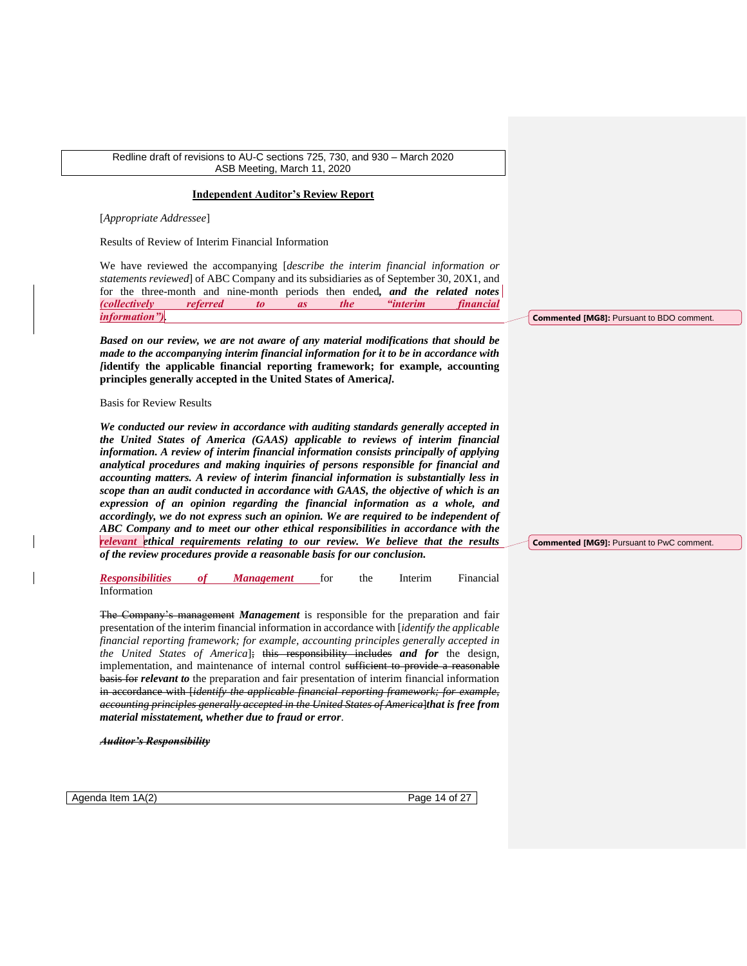### **Independent Auditor's Review Report**

[*Appropriate Addressee*]

Results of Review of Interim Financial Information

We have reviewed the accompanying [*describe the interim financial information or statements reviewed*] of ABC Company and its subsidiaries as of September 30, 20X1, and for the three-month and nine-month periods then ended*, and the related notes (collectively referred to as the "interim financial information")*.

*Based on our review, we are not aware of any material modifications that should be made to the accompanying interim financial information for it to be in accordance with [***identify the applicable financial reporting framework; for example, accounting principles generally accepted in the United States of America***].*

### Basis for Review Results

*We conducted our review in accordance with auditing standards generally accepted in the United States of America (GAAS) applicable to reviews of interim financial information. A review of interim financial information consists principally of applying analytical procedures and making inquiries of persons responsible for financial and accounting matters. A review of interim financial information is substantially less in scope than an audit conducted in accordance with GAAS, the objective of which is an expression of an opinion regarding the financial information as a whole, and accordingly, we do not express such an opinion. We are required to be independent of ABC Company and to meet our other ethical responsibilities in accordance with the relevant ethical requirements relating to our review. We believe that the results of the review procedures provide a reasonable basis for our conclusion.*

**Responsibilities** of **Management** for the Interim Financial Information

The Company's management *Management* is responsible for the preparation and fair presentation of the interim financial information in accordance with [*identify the applicable financial reporting framework; for example, accounting principles generally accepted in the United States of America*]; this responsibility includes *and for* the design, implementation, and maintenance of internal control sufficient to provide a reasonable basis for *relevant to* the preparation and fair presentation of interim financial information in accordance with [*identify the applicable financial reporting framework; for example, accounting principles generally accepted in the United States of America*]*that is free from material misstatement, whether due to fraud or error*.

*Auditor's Responsibility*

Agenda Item 1A(2) **Page 14 of 27** 

**Commented [MG8]:** Pursuant to BDO comment.

**Commented [MG9]:** Pursuant to PwC comment.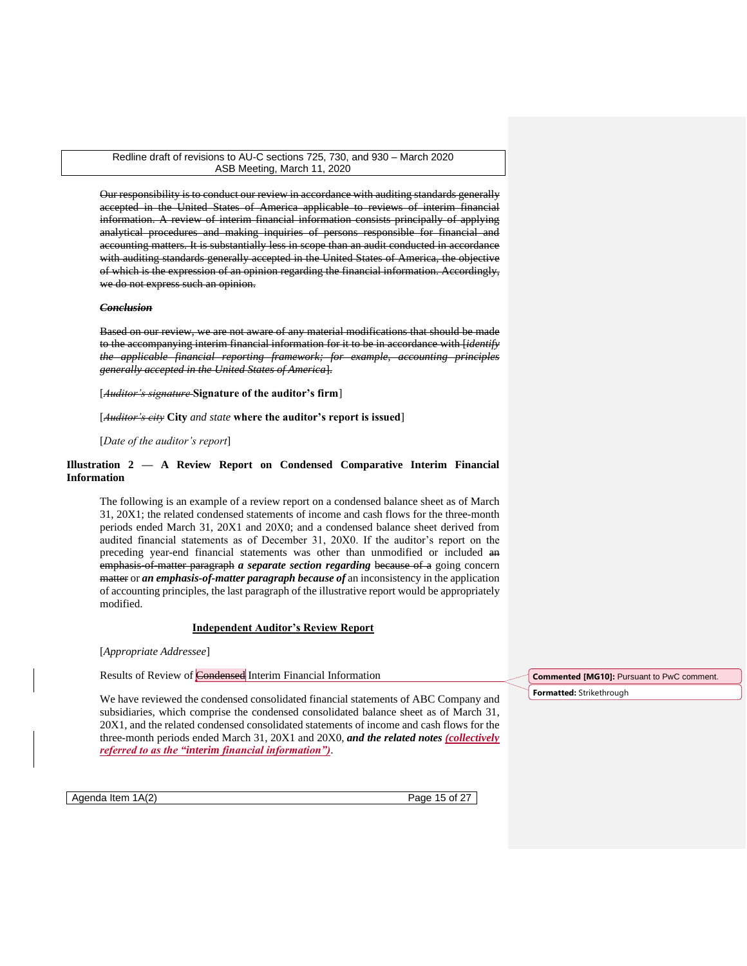Our responsibility is to conduct our review in accordance with auditing standards generally accepted in the United States of America applicable to reviews of interim financial information. A review of interim financial information consists principally of applying analytical procedures and making inquiries of persons responsible for financial and accounting matters. It is substantially less in scope than an audit conducted in accordance with auditing standards generally accepted in the United States of America, the objective of which is the expression of an opinion regarding the financial information. Accordingly, we do not express such an opinion.

#### *Conclusion*

Based on our review, we are not aware of any material modifications that should be made to the accompanying interim financial information for it to be in accordance with [*identify the applicable financial reporting framework; for example, accounting principles generally accepted in the United States of America*].

[*Auditor's signature* **Signature of the auditor's firm**]

[*Auditor's city* **City** *and state* **where the auditor's report is issued**]

[*Date of the auditor's report*]

### <span id="page-14-0"></span>**Illustration 2 — A Review Report on Condensed Comparative Interim Financial Information**

The following is an example of a review report on a condensed balance sheet as of March 31, 20X1; the related condensed statements of income and cash flows for the three-month periods ended March 31, 20X1 and 20X0; and a condensed balance sheet derived from audited financial statements as of December 31, 20X0. If the auditor's report on the preceding year-end financial statements was other than unmodified or included an emphasis-of-matter paragraph *a separate section regarding* because of a going concern matter or *an emphasis-of-matter paragraph because of* an inconsistency in the application of accounting principles, the last paragraph of the illustrative report would be appropriately modified.

### **Independent Auditor's Review Report**

[*Appropriate Addressee*]

Results of Review of Condensed Interim Financial Information

We have reviewed the condensed consolidated financial statements of ABC Company and subsidiaries, which comprise the condensed consolidated balance sheet as of March 31, 20X1, and the related condensed consolidated statements of income and cash flows for the three-month periods ended March 31, 20X1 and 20X0, *and the related notes (collectively referred to as the "interim financial information")*.

Agenda Item 1A(2) **Page 15 of 27 Page 15 of 27** 

**Commented [MG10]:** Pursuant to PwC comment.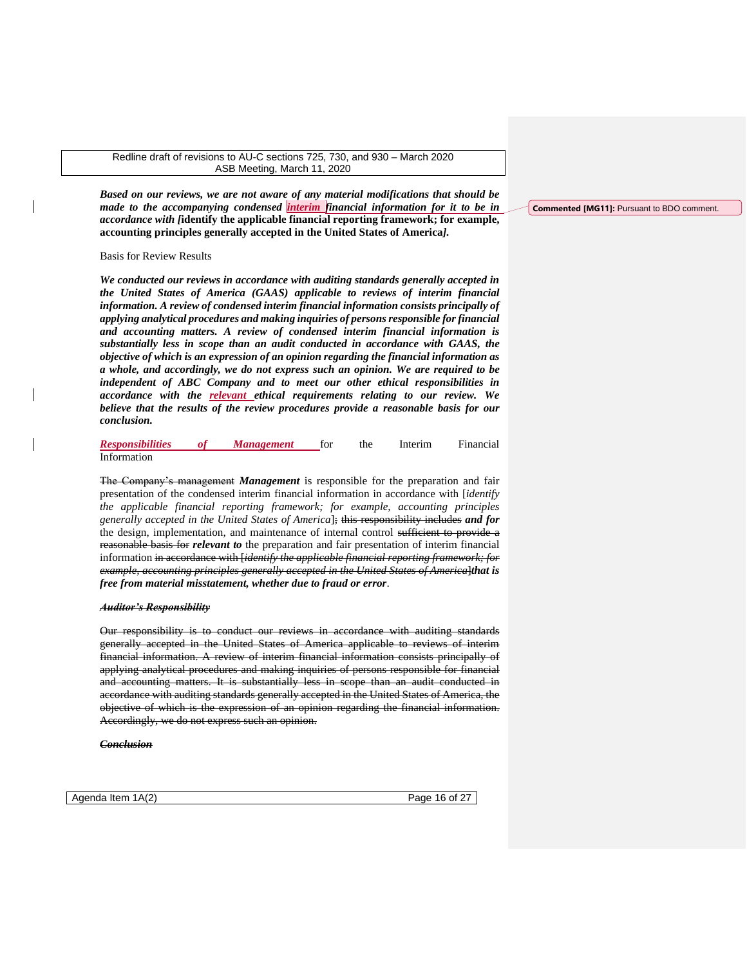*Based on our reviews, we are not aware of any material modifications that should be*  made to the accompanying condensed **interim financial information for it to be in** *accordance with [***identify the applicable financial reporting framework; for example, accounting principles generally accepted in the United States of America***].*

#### Basis for Review Results

*We conducted our reviews in accordance with auditing standards generally accepted in the United States of America (GAAS) applicable to reviews of interim financial information. A review of condensed interim financial information consists principally of applying analytical procedures and making inquiries of persons responsible for financial and accounting matters. A review of condensed interim financial information is substantially less in scope than an audit conducted in accordance with GAAS, the objective of which is an expression of an opinion regarding the financial information as a whole, and accordingly, we do not express such an opinion. We are required to be independent of ABC Company and to meet our other ethical responsibilities in accordance with the relevant ethical requirements relating to our review. We believe that the results of the review procedures provide a reasonable basis for our conclusion.*

*Responsibilities of Management* for the Interim Financial Information

The Company's management *Management* is responsible for the preparation and fair presentation of the condensed interim financial information in accordance with [*identify the applicable financial reporting framework; for example, accounting principles generally accepted in the United States of America*]; this responsibility includes *and for*  the design, implementation, and maintenance of internal control sufficient to provide a reasonable basis for *relevant to* the preparation and fair presentation of interim financial information in accordance with [*identify the applicable financial reporting framework; for example, accounting principles generally accepted in the United States of America*]*that is free from material misstatement, whether due to fraud or error*.

#### *Auditor's Responsibility*

Our responsibility is to conduct our reviews in accordance with auditing standards generally accepted in the United States of America applicable to reviews of interim financial information. A review of interim financial information consists principally of applying analytical procedures and making inquiries of persons responsible for financial and accounting matters. It is substantially less in scope than an audit conducted in accordance with auditing standards generally accepted in the United States of America, the objective of which is the expression of an opinion regarding the financial information. Accordingly, we do not express such an opinion.

*Conclusion*

Agenda Item 1A(2) **Page 16 of 27** 

**Commented [MG11]:** Pursuant to BDO comment.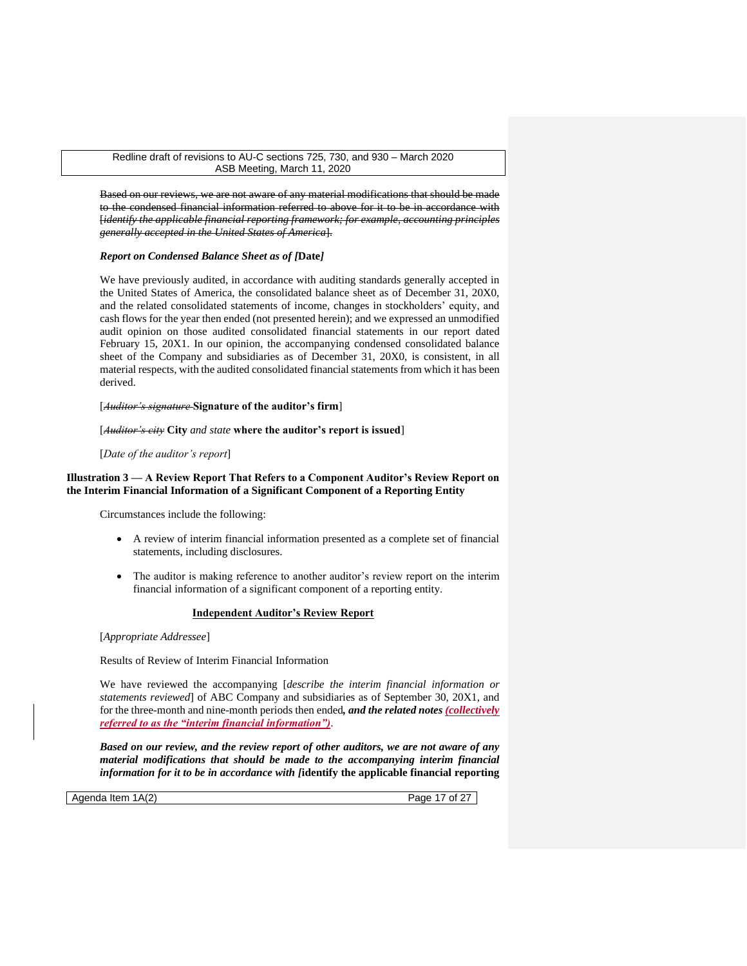Based on our reviews, we are not aware of any material modifications that should be made to the condensed financial information referred to above for it to be in accordance with [*identify the applicable financial reporting framework; for example, accounting principles generally accepted in the United States of America*].

### *Report on Condensed Balance Sheet as of [***Date***]*

We have previously audited, in accordance with auditing standards generally accepted in the United States of America, the consolidated balance sheet as of December 31, 20X0, and the related consolidated statements of income, changes in stockholders' equity, and cash flows for the year then ended (not presented herein); and we expressed an unmodified audit opinion on those audited consolidated financial statements in our report dated February 15, 20X1. In our opinion, the accompanying condensed consolidated balance sheet of the Company and subsidiaries as of December 31, 20X0, is consistent, in all material respects, with the audited consolidated financial statements from which it has been derived.

<span id="page-16-0"></span>[*Auditor's signature* **Signature of the auditor's firm**]

[*Auditor's city* **City** *and state* **where the auditor's report is issued**]

[*Date of the auditor's report*]

### **Illustration 3 — A Review Report That Refers to a Component Auditor's Review Report on the Interim Financial Information of a Significant Component of a Reporting Entity**

Circumstances include the following:

- A review of interim financial information presented as a complete set of financial statements, including disclosures.
- The auditor is making reference to another auditor's review report on the interim financial information of a significant component of a reporting entity.

### **Independent Auditor's Review Report**

[*Appropriate Addressee*]

Results of Review of Interim Financial Information

We have reviewed the accompanying [*describe the interim financial information or statements reviewed*] of ABC Company and subsidiaries as of September 30, 20X1, and for the three-month and nine-month periods then ended*, and the related notes (collectively referred to as the "interim financial information")*.

*Based on our review, and the review report of other auditors, we are not aware of any material modifications that should be made to the accompanying interim financial information for it to be in accordance with [***identify the applicable financial reporting** 

Agenda Item 1A(2) **Page 17 of 27 Page 17 of 27**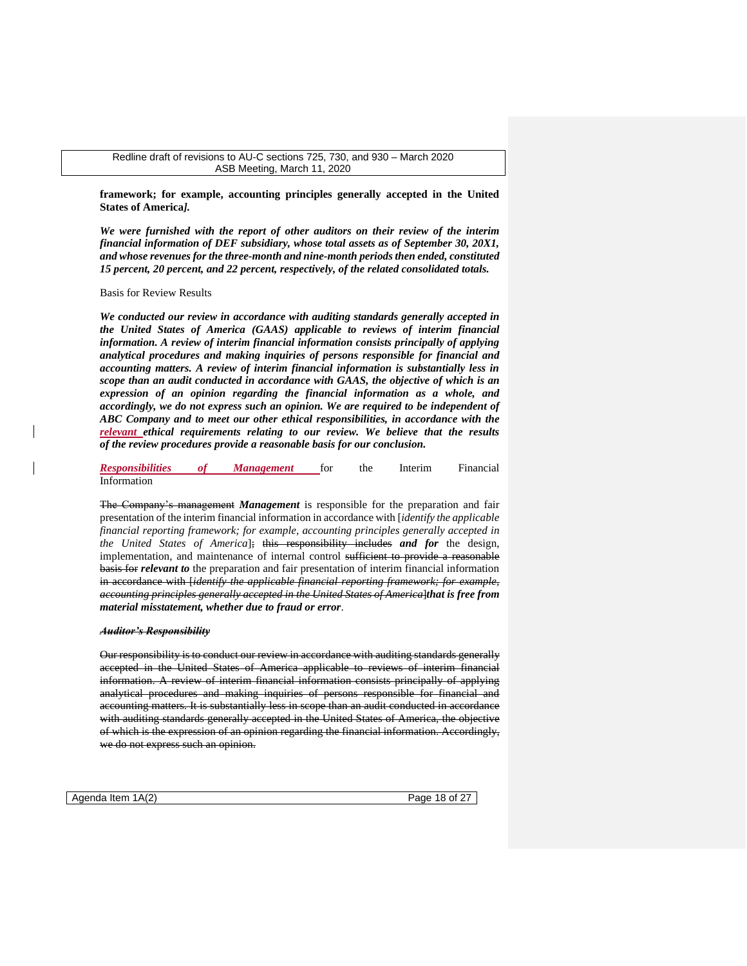**framework; for example, accounting principles generally accepted in the United States of America***].*

*We were furnished with the report of other auditors on their review of the interim financial information of DEF subsidiary, whose total assets as of September 30, 20X1, and whose revenues for the three-month and nine-month periods then ended, constituted 15 percent, 20 percent, and 22 percent, respectively, of the related consolidated totals.*

#### Basis for Review Results

*We conducted our review in accordance with auditing standards generally accepted in the United States of America (GAAS) applicable to reviews of interim financial information. A review of interim financial information consists principally of applying analytical procedures and making inquiries of persons responsible for financial and accounting matters. A review of interim financial information is substantially less in scope than an audit conducted in accordance with GAAS, the objective of which is an expression of an opinion regarding the financial information as a whole, and accordingly, we do not express such an opinion. We are required to be independent of ABC Company and to meet our other ethical responsibilities, in accordance with the relevant ethical requirements relating to our review. We believe that the results of the review procedures provide a reasonable basis for our conclusion.*

**Responsibilities** of Management for the Interim Financial Information

The Company's management *Management* is responsible for the preparation and fair presentation of the interim financial information in accordance with [*identify the applicable financial reporting framework; for example, accounting principles generally accepted in the United States of America*]; this responsibility includes *and for* the design, implementation, and maintenance of internal control sufficient to provide a reasonable basis for *relevant to* the preparation and fair presentation of interim financial information in accordance with [*identify the applicable financial reporting framework; for example, accounting principles generally accepted in the United States of America*]*that is free from material misstatement, whether due to fraud or error*.

#### *Auditor's Responsibility*

Our responsibility is to conduct our review in accordance with auditing standards generally accepted in the United States of America applicable to reviews of interim financial information. A review of interim financial information consists principally of applying analytical procedures and making inquiries of persons responsible for financial and accounting matters. It is substantially less in scope than an audit conducted in accordance with auditing standards generally accepted in the United States of America, the objective of which is the expression of an opinion regarding the financial information. Accordingly, we do not express such an opinion.

Agenda Item 1A(2) **Page 18 of 27**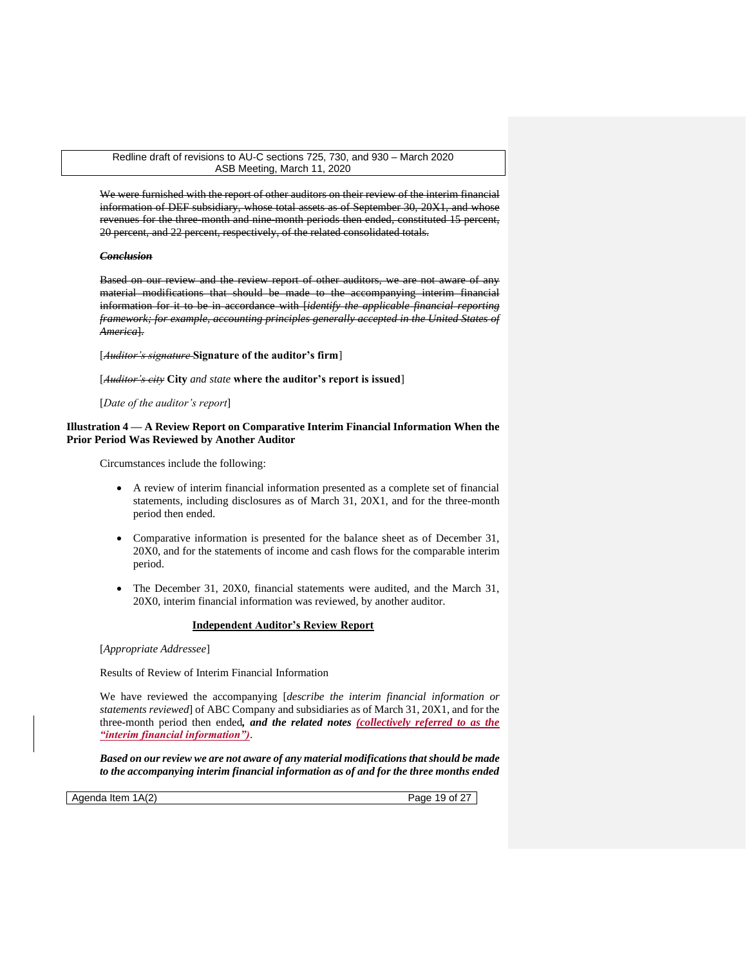We were furnished with the report of other auditors on their review of the interim financial information of DEF subsidiary, whose total assets as of September 30, 20X1, and whose revenues for the three-month and nine-month periods then ended, constituted 15 percent, 20 percent, and 22 percent, respectively, of the related consolidated totals.

#### *Conclusion*

Based on our review and the review report of other auditors, we are not aware of any material modifications that should be made to the accompanying interim financial information for it to be in accordance with [*identify the applicable financial reporting framework; for example, accounting principles generally accepted in the United States of America*].

<span id="page-18-0"></span>[*Auditor's signature* **Signature of the auditor's firm**]

[*Auditor's city* **City** *and state* **where the auditor's report is issued**]

[*Date of the auditor's report*]

#### **Illustration 4 — A Review Report on Comparative Interim Financial Information When the Prior Period Was Reviewed by Another Auditor**

Circumstances include the following:

- A review of interim financial information presented as a complete set of financial statements, including disclosures as of March 31, 20X1, and for the three-month period then ended.
- Comparative information is presented for the balance sheet as of December 31, 20X0, and for the statements of income and cash flows for the comparable interim period.
- The December 31, 20X0, financial statements were audited, and the March 31, 20X0, interim financial information was reviewed, by another auditor.

### **Independent Auditor's Review Report**

[*Appropriate Addressee*]

Results of Review of Interim Financial Information

We have reviewed the accompanying [*describe the interim financial information or statements reviewed*] of ABC Company and subsidiaries as of March 31, 20X1, and for the three-month period then ended*, and the related notes (collectively referred to as the "interim financial information")*.

*Based on our review we are not aware of any material modifications that should be made to the accompanying interim financial information as of and for the three months ended* 

Agenda Item 1A(2) **Page 19 of 27 Page 19 of 27**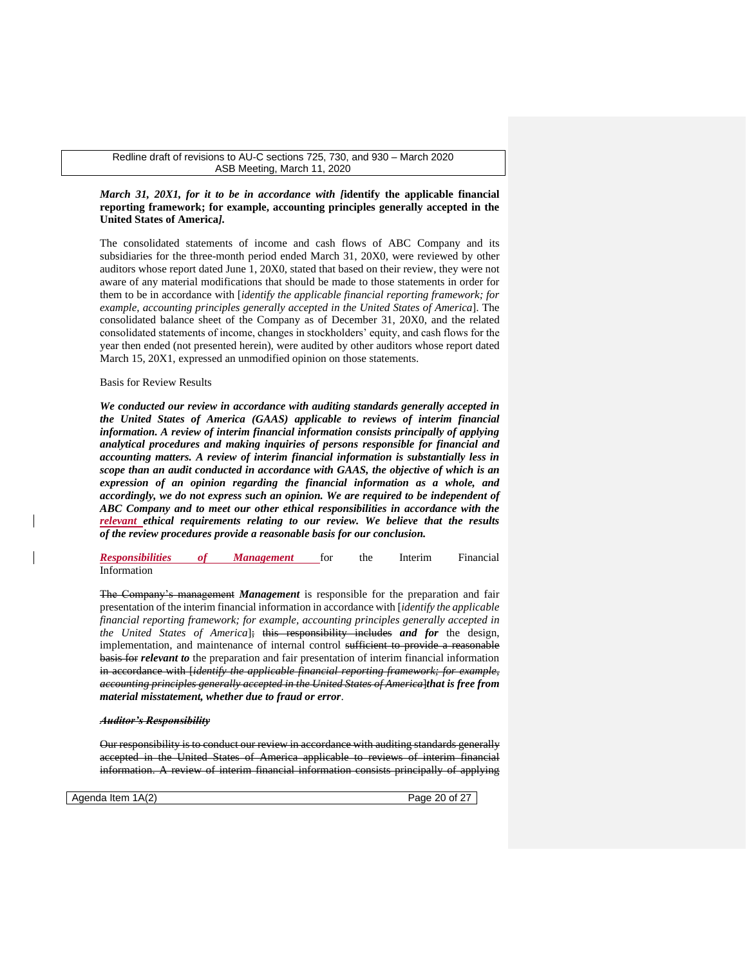### *March 31, 20X1, for it to be in accordance with [***identify the applicable financial reporting framework; for example, accounting principles generally accepted in the United States of America***].*

The consolidated statements of income and cash flows of ABC Company and its subsidiaries for the three-month period ended March 31, 20X0, were reviewed by other auditors whose report dated June 1, 20X0, stated that based on their review, they were not aware of any material modifications that should be made to those statements in order for them to be in accordance with [*identify the applicable financial reporting framework; for example, accounting principles generally accepted in the United States of America*]. The consolidated balance sheet of the Company as of December 31, 20X0, and the related consolidated statements of income, changes in stockholders' equity, and cash flows for the year then ended (not presented herein), were audited by other auditors whose report dated March 15, 20X1, expressed an unmodified opinion on those statements.

#### Basis for Review Results

*We conducted our review in accordance with auditing standards generally accepted in the United States of America (GAAS) applicable to reviews of interim financial information. A review of interim financial information consists principally of applying analytical procedures and making inquiries of persons responsible for financial and accounting matters. A review of interim financial information is substantially less in scope than an audit conducted in accordance with GAAS, the objective of which is an expression of an opinion regarding the financial information as a whole, and accordingly, we do not express such an opinion. We are required to be independent of ABC Company and to meet our other ethical responsibilities in accordance with the relevant ethical requirements relating to our review. We believe that the results of the review procedures provide a reasonable basis for our conclusion.*

*Responsibilities of Management* for the Interim Financial **Information** 

The Company's management *Management* is responsible for the preparation and fair presentation of the interim financial information in accordance with [*identify the applicable financial reporting framework; for example, accounting principles generally accepted in the United States of America*]; this responsibility includes *and for* the design, implementation, and maintenance of internal control sufficient to provide a reasonable basis for *relevant to* the preparation and fair presentation of interim financial information in accordance with [*identify the applicable financial reporting framework; for example, accounting principles generally accepted in the United States of America*]*that is free from material misstatement, whether due to fraud or error*.

#### *Auditor's Responsibility*

Our responsibility is to conduct our review in accordance with auditing standards generally accepted in the United States of America applicable to reviews of interim financial information. A review of interim financial information consists principally of applying

Agenda Item 1A(2) **Page 20 of 27**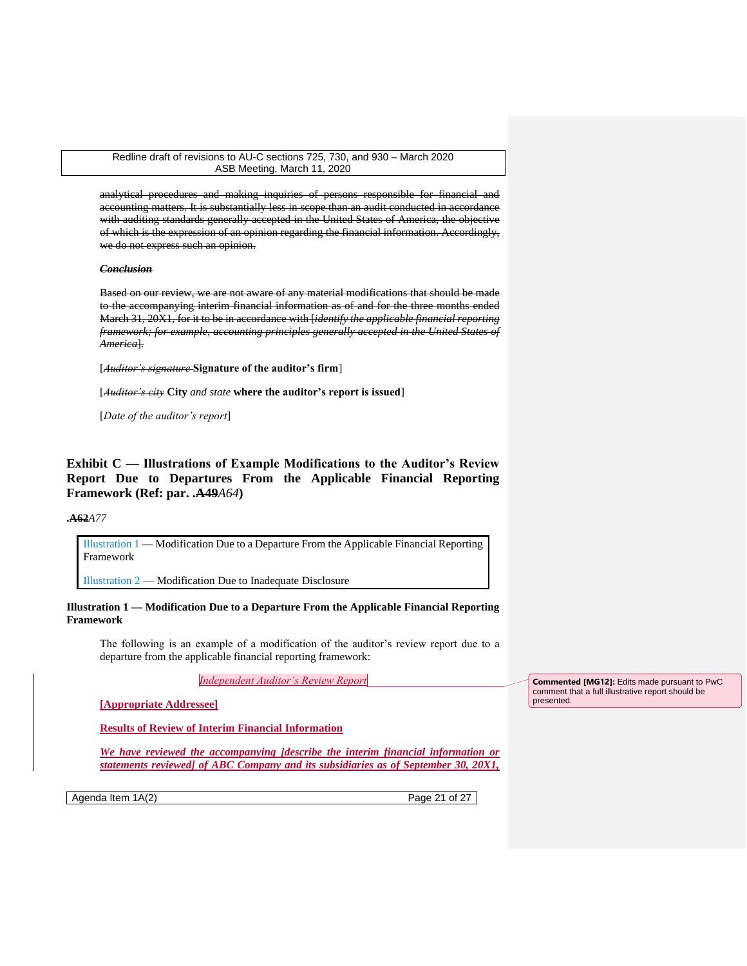analytical procedures and making inquiries of persons responsible for financial and accounting matters. It is substantially less in scope than an audit conducted in accordance with auditing standards generally accepted in the United States of America, the objective of which is the expression of an opinion regarding the financial information. Accordingly, we do not express such an opinion.

### *Conclusion*

Based on our review, we are not aware of any material modifications that should be made to the accompanying interim financial information as of and for the three months ended March 31, 20X1, for it to be in accordance with [*identify the applicable financial reporting framework; for example, accounting principles generally accepted in the United States of America*].

[*Auditor's signature* **Signature of the auditor's firm**]

[*Auditor's city* **City** *and state* **where the auditor's report is issued**]

[*Date of the auditor's report*]

**Exhibit C — Illustrations of Example Modifications to the Auditor's Review Report Due to Departures From the Applicable Financial Reporting Framework (Ref: par. .A49***A64***)**

**.A62***A77*

[Illustration 1](#page-20-0) — Modification Due to a Departure From the Applicable Financial Reporting Framework

[Illustration 2](#page-22-0) — Modification Due to Inadequate Disclosure

<span id="page-20-0"></span>**Illustration 1 — Modification Due to a Departure From the Applicable Financial Reporting Framework** 

The following is an example of a modification of the auditor's review report due to a departure from the applicable financial reporting framework:

*Independent Auditor's Review Report*

**[Appropriate Addressee]**

**Results of Review of Interim Financial Information**

*We have reviewed the accompanying [describe the interim financial information or statements reviewed] of ABC Company and its subsidiaries as of September 30, 20X1,* 

Agenda Item 1A(2) **Page 21 of 27 Page 21 of 27** 

**Commented [MG12]:** Edits made pursuant to PwC comment that a full illustrative report should be presented.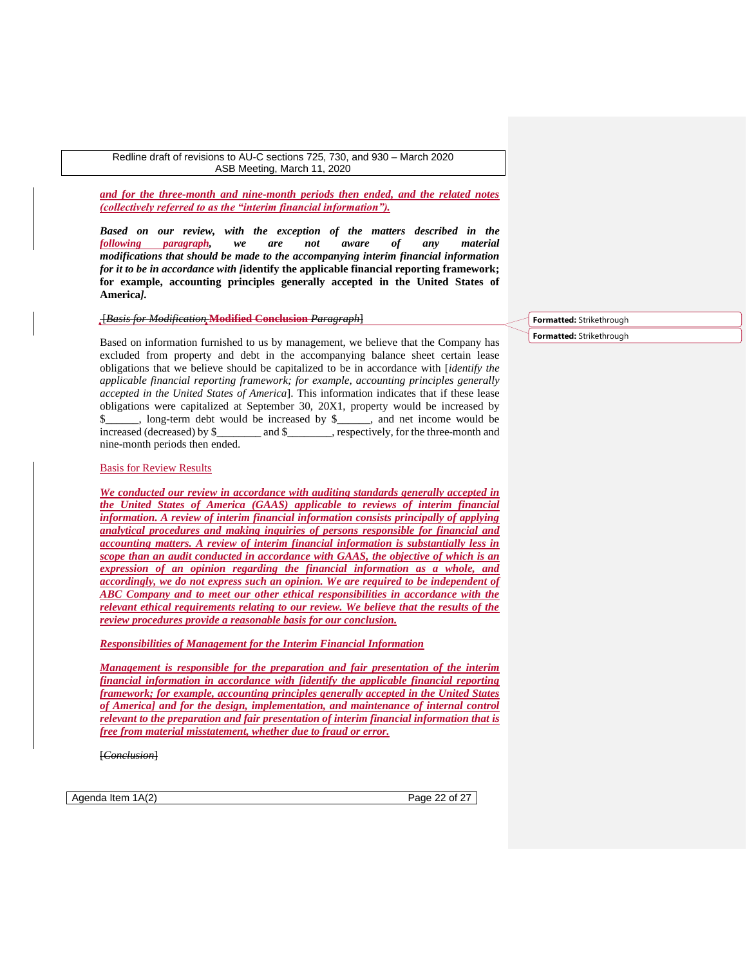*and for the three-month and nine-month periods then ended, and the related notes (collectively referred to as the "interim financial information").* 

*Based on our review, with the exception of the matters described in the following paragraph, we are not aware of any material modifications that should be made to the accompanying interim financial information for it to be in accordance with [***identify the applicable financial reporting framework; for example, accounting principles generally accepted in the United States of America***].*

[*Basis for Modification* **Modified Conclusion** *Paragraph*]

Based on information furnished to us by management, we believe that the Company has excluded from property and debt in the accompanying balance sheet certain lease obligations that we believe should be capitalized to be in accordance with [*identify the applicable financial reporting framework; for example, accounting principles generally accepted in the United States of America*]. This information indicates that if these lease obligations were capitalized at September 30, 20X1, property would be increased by \$\_\_\_\_\_, long-term debt would be increased by \$\_\_\_\_\_, and net income would be increased (decreased) by \$\_\_\_\_\_\_\_\_ and \$\_\_\_\_\_\_\_\_, respectively, for the three-month and nine-month periods then ended.

#### Basis for Review Results

*We conducted our review in accordance with auditing standards generally accepted in the United States of America (GAAS) applicable to reviews of interim financial information. A review of interim financial information consists principally of applying analytical procedures and making inquiries of persons responsible for financial and accounting matters. A review of interim financial information is substantially less in scope than an audit conducted in accordance with GAAS, the objective of which is an expression of an opinion regarding the financial information as a whole, and accordingly, we do not express such an opinion. We are required to be independent of ABC Company and to meet our other ethical responsibilities in accordance with the relevant ethical requirements relating to our review. We believe that the results of the review procedures provide a reasonable basis for our conclusion.*

#### *Responsibilities of Management for the Interim Financial Information*

*Management is responsible for the preparation and fair presentation of the interim financial information in accordance with [identify the applicable financial reporting framework; for example, accounting principles generally accepted in the United States of America] and for the design, implementation, and maintenance of internal control relevant to the preparation and fair presentation of interim financial information that is free from material misstatement, whether due to fraud or error.* 

[*Conclusion*]

Agenda Item 1A(2) **Page 22 of 27 Page 22 of 27** 

**Formatted:** Strikethrough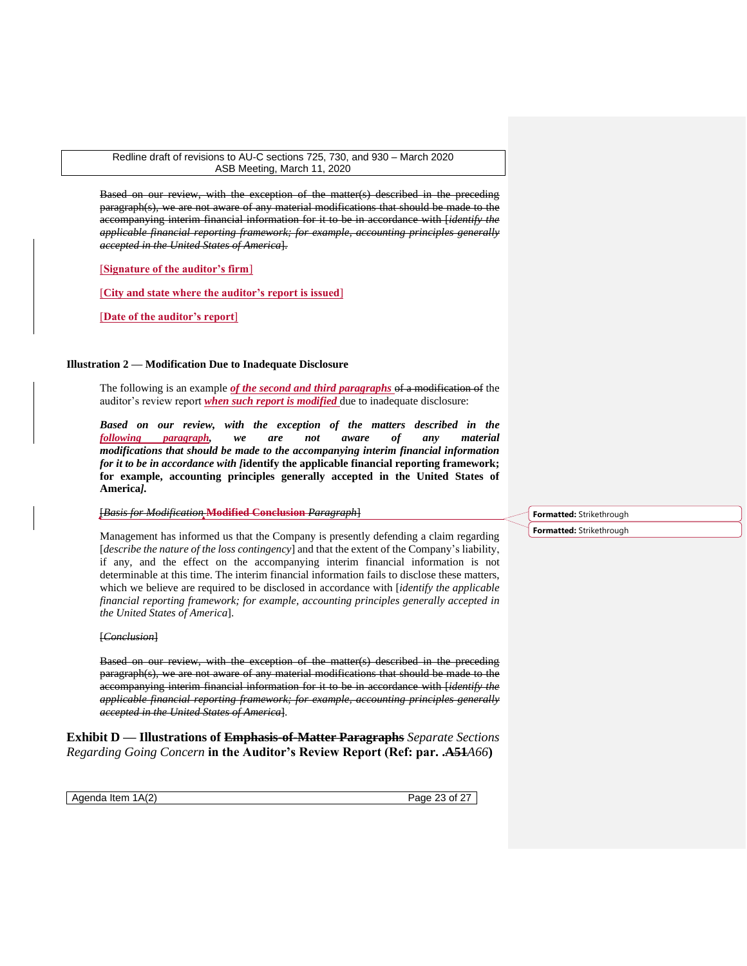Based on our review, with the exception of the matter(s) described in the preceding paragraph(s), we are not aware of any material modifications that should be made to the accompanying interim financial information for it to be in accordance with [*identify the applicable financial reporting framework; for example, accounting principles generally accepted in the United States of America*].

[**Signature of the auditor's firm**]

[**City and state where the auditor's report is issued**]

[**Date of the auditor's report**]

#### <span id="page-22-0"></span>**Illustration 2 — Modification Due to Inadequate Disclosure**

The following is an example *of the second and third paragraphs* of a modification of the auditor's review report *when such report is modified* due to inadequate disclosure:

*Based on our review, with the exception of the matters described in the following paragraph, we are not aware of any material modifications that should be made to the accompanying interim financial information for it to be in accordance with [***identify the applicable financial reporting framework; for example, accounting principles generally accepted in the United States of America***].*

[*Basis for Modification* **Modified Conclusion** *Paragraph*]

Management has informed us that the Company is presently defending a claim regarding [*describe the nature of the loss contingency*] and that the extent of the Company's liability, if any, and the effect on the accompanying interim financial information is not determinable at this time. The interim financial information fails to disclose these matters, which we believe are required to be disclosed in accordance with [*identify the applicable financial reporting framework; for example, accounting principles generally accepted in the United States of America*].

#### [*Conclusion*]

Based on our review, with the exception of the matter(s) described in the preceding paragraph(s), we are not aware of any material modifications that should be made to the accompanying interim financial information for it to be in accordance with [*identify the applicable financial reporting framework; for example, accounting principles generally accepted in the United States of America*].

**Exhibit D — Illustrations of Emphasis-of-Matter Paragraphs** *Separate Sections Regarding Going Concern* **in the Auditor's Review Report (Ref: par. .A51***A66***)**

Agenda Item 1A(2) **Page 23 of 27 Page 23 of 27** 

**Formatted:** Strikethrough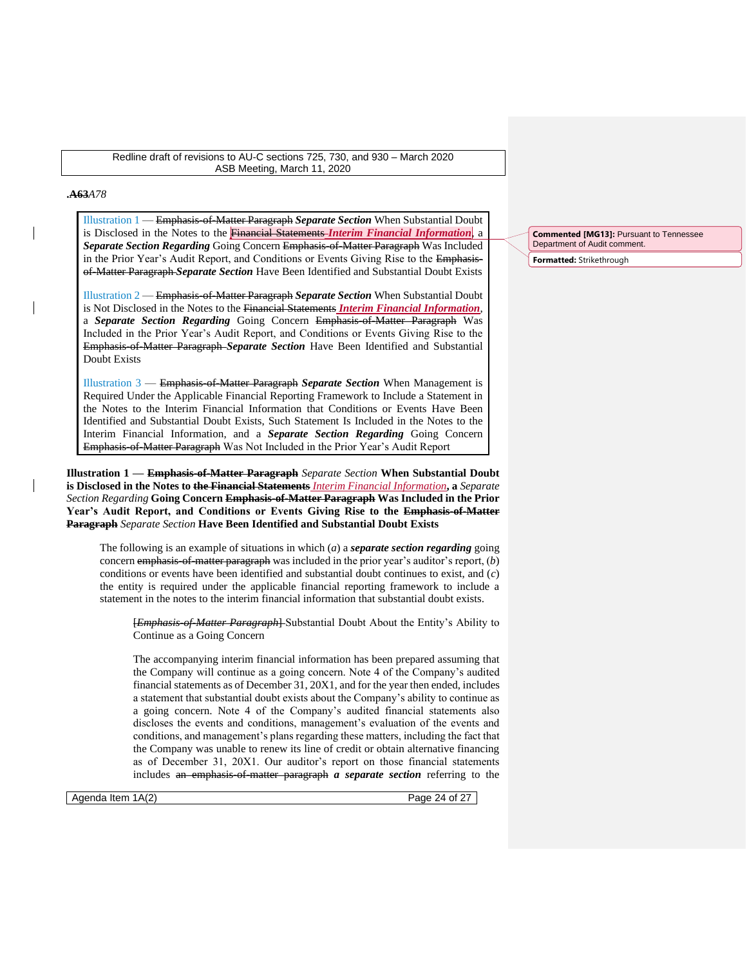### **.A63***A78*

[Illustration 1](#page-23-0) — Emphasis-of-Matter Paragraph *Separate Section* When Substantial Doubt is Disclosed in the Notes to the Financial Statements *Interim Financial Information*, a *Separate Section Regarding* Going Concern Emphasis-of-Matter Paragraph Was Included in the Prior Year's Audit Report, and Conditions or Events Giving Rise to the Emphasisof-Matter Paragraph *Separate Section* Have Been Identified and Substantial Doubt Exists

[Illustration 2](#page-24-0) — Emphasis-of-Matter Paragraph *Separate Section* When Substantial Doubt is Not Disclosed in the Notes to the Financial Statements *Interim Financial Information*, a *Separate Section Regarding* Going Concern Emphasis-of-Matter Paragraph Was Included in the Prior Year's Audit Report, and Conditions or Events Giving Rise to the Emphasis-of-Matter Paragraph *Separate Section* Have Been Identified and Substantial Doubt Exists

[Illustration 3](#page-24-1) — Emphasis-of-Matter Paragraph *Separate Section* When Management is Required Under the Applicable Financial Reporting Framework to Include a Statement in the Notes to the Interim Financial Information that Conditions or Events Have Been Identified and Substantial Doubt Exists, Such Statement Is Included in the Notes to the Interim Financial Information, and a *Separate Section Regarding* Going Concern Emphasis-of-Matter Paragraph Was Not Included in the Prior Year's Audit Report

<span id="page-23-0"></span>**Illustration 1 — Emphasis-of-Matter Paragraph** *Separate Section* **When Substantial Doubt is Disclosed in the Notes to the Financial Statements** *Interim Financial Information***, a** *Separate Section Regarding* **Going Concern Emphasis-of-Matter Paragraph Was Included in the Prior Year's Audit Report, and Conditions or Events Giving Rise to the Emphasis-of-Matter Paragraph** *Separate Section* **Have Been Identified and Substantial Doubt Exists**

The following is an example of situations in which (*a*) a *separate section regarding* going concern emphasis-of-matter paragraph was included in the prior year's auditor's report, (*b*) conditions or events have been identified and substantial doubt continues to exist, and (*c*) the entity is required under the applicable financial reporting framework to include a statement in the notes to the interim financial information that substantial doubt exists.

[*Emphasis-of-Matter Paragraph*] Substantial Doubt About the Entity's Ability to Continue as a Going Concern

The accompanying interim financial information has been prepared assuming that the Company will continue as a going concern. Note 4 of the Company's audited financial statements as of December 31, 20X1, and for the year then ended, includes a statement that substantial doubt exists about the Company's ability to continue as a going concern. Note 4 of the Company's audited financial statements also discloses the events and conditions, management's evaluation of the events and conditions, and management's plans regarding these matters, including the fact that the Company was unable to renew its line of credit or obtain alternative financing as of December 31, 20X1. Our auditor's report on those financial statements includes an emphasis-of-matter paragraph *a separate section* referring to the

Agenda Item 1A(2) Page 24 of 27

**Commented [MG13]:** Pursuant to Tennessee Department of Audit comment.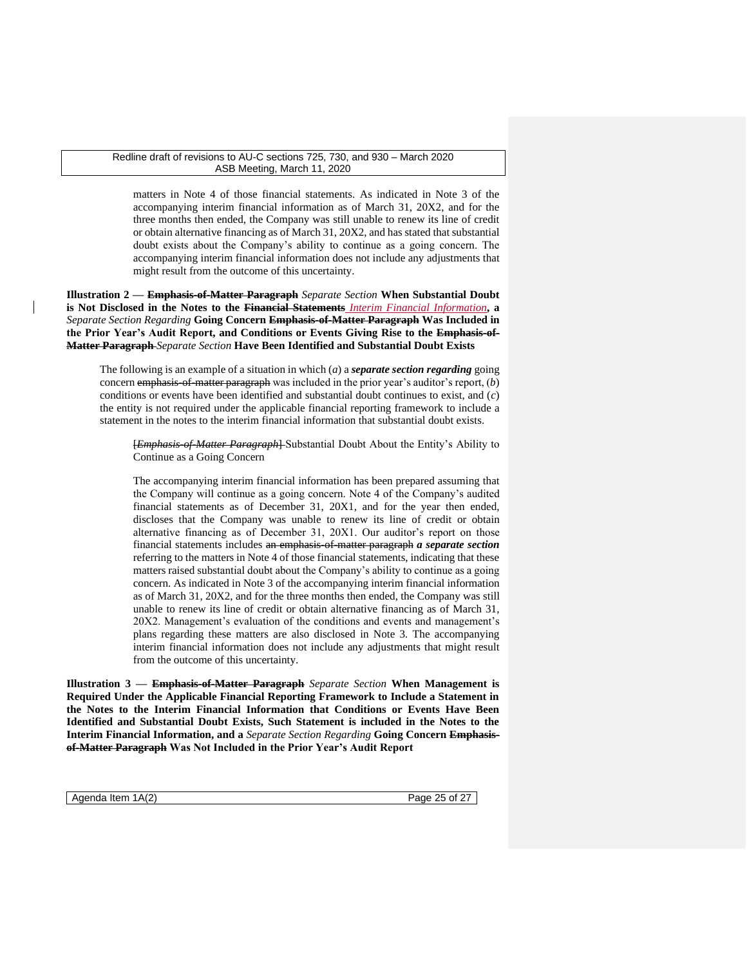matters in Note 4 of those financial statements. As indicated in Note 3 of the accompanying interim financial information as of March 31, 20X2, and for the three months then ended, the Company was still unable to renew its line of credit or obtain alternative financing as of March 31, 20X2, and has stated that substantial doubt exists about the Company's ability to continue as a going concern. The accompanying interim financial information does not include any adjustments that might result from the outcome of this uncertainty.

<span id="page-24-0"></span>**Illustration 2 — Emphasis-of-Matter Paragraph** *Separate Section* **When Substantial Doubt is Not Disclosed in the Notes to the Financial Statements** *Interim Financial Information***, a**  *Separate Section Regarding* **Going Concern Emphasis-of-Matter Paragraph Was Included in the Prior Year's Audit Report, and Conditions or Events Giving Rise to the Emphasis-of-Matter Paragraph** *Separate Section* **Have Been Identified and Substantial Doubt Exists**

The following is an example of a situation in which (*a*) a *separate section regarding* going concern emphasis-of-matter paragraph was included in the prior year's auditor's report, (*b*) conditions or events have been identified and substantial doubt continues to exist, and (*c*) the entity is not required under the applicable financial reporting framework to include a statement in the notes to the interim financial information that substantial doubt exists.

[*Emphasis-of-Matter Paragraph*] Substantial Doubt About the Entity's Ability to Continue as a Going Concern

The accompanying interim financial information has been prepared assuming that the Company will continue as a going concern. Note 4 of the Company's audited financial statements as of December 31, 20X1, and for the year then ended, discloses that the Company was unable to renew its line of credit or obtain alternative financing as of December 31, 20X1. Our auditor's report on those financial statements includes an emphasis-of-matter paragraph *a separate section*  referring to the matters in Note 4 of those financial statements, indicating that these matters raised substantial doubt about the Company's ability to continue as a going concern. As indicated in Note 3 of the accompanying interim financial information as of March 31, 20X2, and for the three months then ended, the Company was still unable to renew its line of credit or obtain alternative financing as of March 31, 20X2. Management's evaluation of the conditions and events and management's plans regarding these matters are also disclosed in Note 3. The accompanying interim financial information does not include any adjustments that might result from the outcome of this uncertainty.

<span id="page-24-1"></span>**Illustration 3 — Emphasis-of-Matter Paragraph** *Separate Section* **When Management is Required Under the Applicable Financial Reporting Framework to Include a Statement in the Notes to the Interim Financial Information that Conditions or Events Have Been Identified and Substantial Doubt Exists, Such Statement is included in the Notes to the Interim Financial Information, and a** *Separate Section Regarding* **Going Concern Emphasisof-Matter Paragraph Was Not Included in the Prior Year's Audit Report**

Agenda Item 1A(2) Page 25 of 27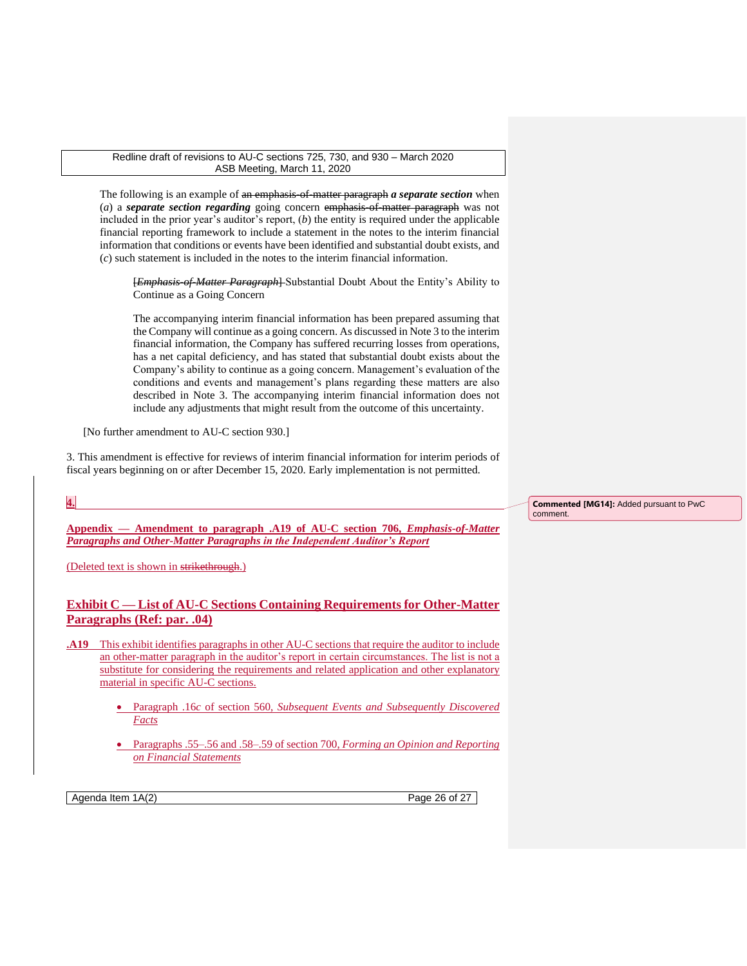The following is an example of an emphasis-of-matter paragraph *a separate section* when (*a*) a *separate section regarding* going concern emphasis-of-matter paragraph was not included in the prior year's auditor's report, (*b*) the entity is required under the applicable financial reporting framework to include a statement in the notes to the interim financial information that conditions or events have been identified and substantial doubt exists, and (*c*) such statement is included in the notes to the interim financial information.

[*Emphasis-of-Matter Paragraph*] Substantial Doubt About the Entity's Ability to Continue as a Going Concern

The accompanying interim financial information has been prepared assuming that the Company will continue as a going concern. As discussed in Note 3 to the interim financial information, the Company has suffered recurring losses from operations, has a net capital deficiency, and has stated that substantial doubt exists about the Company's ability to continue as a going concern. Management's evaluation of the conditions and events and management's plans regarding these matters are also described in Note 3. The accompanying interim financial information does not include any adjustments that might result from the outcome of this uncertainty.

[No further amendment to AU-C section 930.]

3. This amendment is effective for reviews of interim financial information for interim periods of fiscal years beginning on or after December 15, 2020. Early implementation is not permitted.

**4.**

**Appendix — Amendment to paragraph .A19 of AU-C section 706,** *Emphasis-of-Matter Paragraphs and Other-Matter Paragraphs in the Independent Auditor's Report* 

(Deleted text is shown in strikethrough.)

# **Exhibit C — List of AU-C Sections Containing Requirements for Other-Matter Paragraphs (Ref: par. .04)**

- **.A19** This exhibit identifies paragraphs in other AU-C sections that require the auditor to include an other-matter paragraph in the auditor's report in certain circumstances. The list is not a substitute for considering the requirements and related application and other explanatory material in specific AU-C sections.
	- Paragraph .16*c* of section 560, *Subsequent Events and Subsequently Discovered Facts*
	- Paragraphs .55–.56 and .58–.59 of section 700, *Forming an Opinion and Reporting on Financial Statements*

Agenda Item 1A(2) Page 26 of 27

**Commented [MG14]:** Added pursuant to PwC comment.